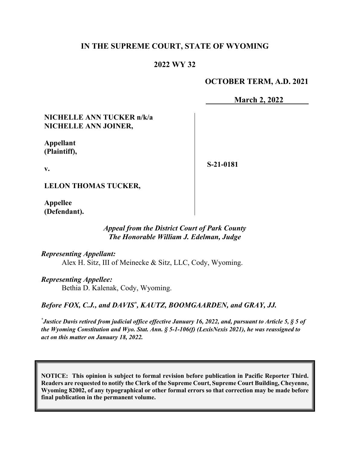# **IN THE SUPREME COURT, STATE OF WYOMING**

# **2022 WY 32**

## **OCTOBER TERM, A.D. 2021**

**March 2, 2022**

## **NICHELLE ANN TUCKER n/k/a NICHELLE ANN JOINER,**

**Appellant (Plaintiff),**

**v.**

**S-21-0181**

**LELON THOMAS TUCKER,**

**Appellee (Defendant).**

### *Appeal from the District Court of Park County The Honorable William J. Edelman, Judge*

*Representing Appellant:* Alex H. Sitz, III of Meinecke & Sitz, LLC, Cody, Wyoming.

*Representing Appellee:* Bethia D. Kalenak, Cody, Wyoming.

Before FOX, C.J., and DAVIS<sup>\*</sup>, KAUTZ, BOOMGAARDEN, and GRAY, JJ.

*\* Justice Davis retired from judicial office effective January 16, 2022, and, pursuant to Article 5, § 5 of the Wyoming Constitution and Wyo. Stat. Ann. § 5-1-106(f) (LexisNexis 2021), he was reassigned to act on this matter on January 18, 2022.*

**NOTICE: This opinion is subject to formal revision before publication in Pacific Reporter Third. Readers are requested to notify the Clerk of the Supreme Court, Supreme Court Building, Cheyenne, Wyoming 82002, of any typographical or other formal errors so that correction may be made before final publication in the permanent volume.**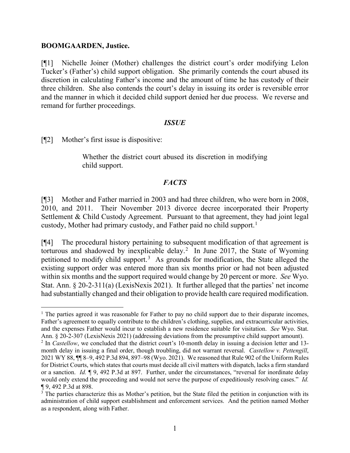#### **BOOMGAARDEN, Justice.**

[¶1] Nichelle Joiner (Mother) challenges the district court's order modifying Lelon Tucker's (Father's) child support obligation. She primarily contends the court abused its discretion in calculating Father's income and the amount of time he has custody of their three children. She also contends the court's delay in issuing its order is reversible error and the manner in which it decided child support denied her due process. We reverse and remand for further proceedings.

#### *ISSUE*

[¶2] Mother's first issue is dispositive:

Whether the district court abused its discretion in modifying child support.

### *FACTS*

[¶3] Mother and Father married in 2003 and had three children, who were born in 2008, 2010, and 2011. Their November 2013 divorce decree incorporated their Property Settlement & Child Custody Agreement. Pursuant to that agreement, they had joint legal custody, Mother had primary custody, and Father paid no child support. [1](#page-1-0)

[¶4] The procedural history pertaining to subsequent modification of that agreement is torturous and shadowed by inexplicable delay.<sup>[2](#page-1-1)</sup> In June 2017, the State of Wyoming petitioned to modify child support.<sup>[3](#page-1-2)</sup> As grounds for modification, the State alleged the existing support order was entered more than six months prior or had not been adjusted within six months and the support required would change by 20 percent or more. *See* Wyo. Stat. Ann. § 20-2-311(a) (LexisNexis 2021). It further alleged that the parties' net income had substantially changed and their obligation to provide health care required modification.

<span id="page-1-0"></span><sup>&</sup>lt;sup>1</sup> The parties agreed it was reasonable for Father to pay no child support due to their disparate incomes, Father's agreement to equally contribute to the children's clothing, supplies, and extracurricular activities, and the expenses Father would incur to establish a new residence suitable for visitation. *See* Wyo. Stat. Ann. § 20-2-307 (LexisNexis 2021) (addressing deviations from the presumptive child support amount).

<span id="page-1-1"></span><sup>&</sup>lt;sup>2</sup> In *Castellow*, we concluded that the district court's 10-month delay in issuing a decision letter and 13month delay in issuing a final order, though troubling, did not warrant reversal. *Castellow v. Pettengill*, 2021 WY 88, ¶¶ 8–9, 492 P.3d 894, 897–98 (Wyo. 2021). We reasoned that Rule 902 of the Uniform Rules for District Courts, which states that courts must decide all civil matters with dispatch, lacks a firm standard or a sanction. *Id.* ¶ 9, 492 P.3d at 897. Further, under the circumstances, "reversal for inordinate delay would only extend the proceeding and would not serve the purpose of expeditiously resolving cases." *Id.* ¶ 9, 492 P.3d at 898.

<span id="page-1-2"></span><sup>&</sup>lt;sup>3</sup> The parties characterize this as Mother's petition, but the State filed the petition in conjunction with its administration of child support establishment and enforcement services. And the petition named Mother as a respondent, along with Father.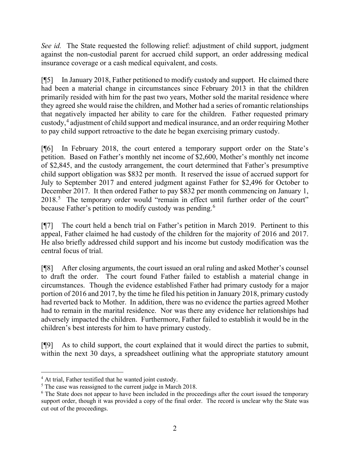*See id.* The State requested the following relief: adjustment of child support, judgment against the non-custodial parent for accrued child support, an order addressing medical insurance coverage or a cash medical equivalent, and costs.

[¶5] In January 2018, Father petitioned to modify custody and support. He claimed there had been a material change in circumstances since February 2013 in that the children primarily resided with him for the past two years, Mother sold the marital residence where they agreed she would raise the children, and Mother had a series of romantic relationships that negatively impacted her ability to care for the children. Father requested primary custody, [4](#page-2-0) adjustment of child support and medical insurance, and an order requiring Mother to pay child support retroactive to the date he began exercising primary custody.

[¶6] In February 2018, the court entered a temporary support order on the State's petition. Based on Father's monthly net income of \$2,600, Mother's monthly net income of \$2,845, and the custody arrangement, the court determined that Father's presumptive child support obligation was \$832 per month. It reserved the issue of accrued support for July to September 2017 and entered judgment against Father for \$2,496 for October to December 2017. It then ordered Father to pay \$832 per month commencing on January 1, 2018.<sup>[5](#page-2-1)</sup> The temporary order would "remain in effect until further order of the court" because Father's petition to modify custody was pending. [6](#page-2-2)

[¶7] The court held a bench trial on Father's petition in March 2019. Pertinent to this appeal, Father claimed he had custody of the children for the majority of 2016 and 2017. He also briefly addressed child support and his income but custody modification was the central focus of trial.

[¶8] After closing arguments, the court issued an oral ruling and asked Mother's counsel to draft the order. The court found Father failed to establish a material change in circumstances. Though the evidence established Father had primary custody for a major portion of 2016 and 2017, by the time he filed his petition in January 2018, primary custody had reverted back to Mother. In addition, there was no evidence the parties agreed Mother had to remain in the marital residence. Nor was there any evidence her relationships had adversely impacted the children. Furthermore, Father failed to establish it would be in the children's best interests for him to have primary custody.

[¶9] As to child support, the court explained that it would direct the parties to submit, within the next 30 days, a spreadsheet outlining what the appropriate statutory amount

<span id="page-2-0"></span><sup>&</sup>lt;sup>4</sup> At trial, Father testified that he wanted joint custody.

<span id="page-2-2"></span><span id="page-2-1"></span><sup>&</sup>lt;sup>5</sup> The case was reassigned to the current judge in March 2018.<br><sup>6</sup> The State does not appear to have been included in the proceedings after the court issued the temporary support order, though it was provided a copy of the final order. The record is unclear why the State was cut out of the proceedings.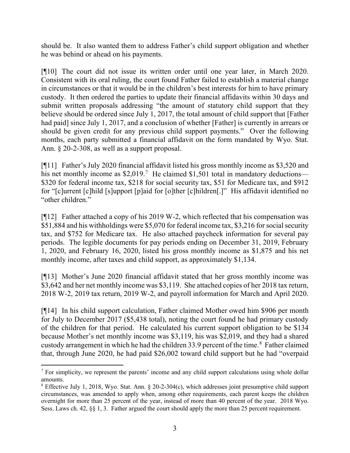should be. It also wanted them to address Father's child support obligation and whether he was behind or ahead on his payments.

[¶10] The court did not issue its written order until one year later, in March 2020. Consistent with its oral ruling, the court found Father failed to establish a material change in circumstances or that it would be in the children's best interests for him to have primary custody. It then ordered the parties to update their financial affidavits within 30 days and submit written proposals addressing "the amount of statutory child support that they believe should be ordered since July 1, 2017, the total amount of child support that [Father had paid] since July 1, 2017, and a conclusion of whether [Father] is currently in arrears or should be given credit for any previous child support payments." Over the following months, each party submitted a financial affidavit on the form mandated by Wyo. Stat. Ann.  $\S 20$ -2-308, as well as a support proposal.

[¶11] Father's July 2020 financial affidavit listed his gross monthly income as \$3,520 and his net monthly income as  $$2,019$ .<sup>[7](#page-3-0)</sup> He claimed \$1,501 total in mandatory deductions— \$320 for federal income tax, \$218 for social security tax, \$51 for Medicare tax, and \$912 for "[c]urrent [c]hild [s]upport [p]aid for [o]ther [c]hildren[.]" His affidavit identified no "other children."

[¶12] Father attached a copy of his 2019 W-2, which reflected that his compensation was \$51,884 and his withholdings were \$5,070 for federal income tax, \$3,216 for social security tax, and \$752 for Medicare tax. He also attached paycheck information for several pay periods. The legible documents for pay periods ending on December 31, 2019, February 1, 2020, and February 16, 2020, listed his gross monthly income as \$1,875 and his net monthly income, after taxes and child support, as approximately \$1,134.

[¶13] Mother's June 2020 financial affidavit stated that her gross monthly income was \$3,642 and her net monthly income was \$3,119. She attached copies of her 2018 tax return, 2018 W-2, 2019 tax return, 2019 W-2, and payroll information for March and April 2020.

[¶14] In his child support calculation, Father claimed Mother owed him \$906 per month for July to December 2017 (\$5,438 total), noting the court found he had primary custody of the children for that period. He calculated his current support obligation to be \$134 because Mother's net monthly income was \$3,119, his was \$2,019, and they had a shared custody arrangement in which he had the children 33.9 percent of the time.<sup>[8](#page-3-1)</sup> Father claimed that, through June 2020, he had paid \$26,002 toward child support but he had "overpaid

<span id="page-3-0"></span> $<sup>7</sup>$  For simplicity, we represent the parents' income and any child support calculations using whole dollar</sup> amounts.

<span id="page-3-1"></span><sup>8</sup> Effective July 1, 2018, Wyo. Stat. Ann. § 20-2-304(c), which addresses joint presumptive child support circumstances, was amended to apply when, among other requirements, each parent keeps the children overnight for more than 25 percent of the year, instead of more than 40 percent of the year. 2018 Wyo. Sess. Laws ch. 42, §§ 1, 3. Father argued the court should apply the more than 25 percent requirement.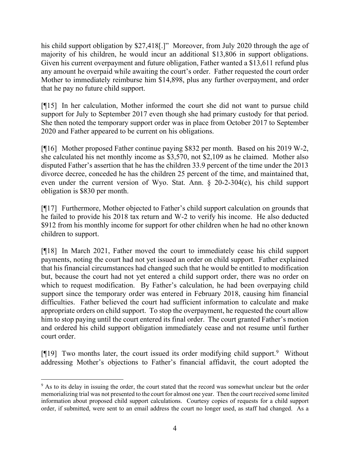his child support obligation by \$27,418<sup>[1]</sup>. Moreover, from July 2020 through the age of majority of his children, he would incur an additional \$13,806 in support obligations. Given his current overpayment and future obligation, Father wanted a \$13,611 refund plus any amount he overpaid while awaiting the court's order. Father requested the court order Mother to immediately reimburse him \$14,898, plus any further overpayment, and order that he pay no future child support.

[¶15] In her calculation, Mother informed the court she did not want to pursue child support for July to September 2017 even though she had primary custody for that period. She then noted the temporary support order was in place from October 2017 to September 2020 and Father appeared to be current on his obligations.

[¶16] Mother proposed Father continue paying \$832 per month. Based on his 2019 W-2, she calculated his net monthly income as \$3,570, not \$2,109 as he claimed. Mother also disputed Father's assertion that he has the children 33.9 percent of the time under the 2013 divorce decree, conceded he has the children 25 percent of the time, and maintained that, even under the current version of Wyo. Stat. Ann. § 20-2-304(c), his child support obligation is \$830 per month.

[¶17] Furthermore, Mother objected to Father's child support calculation on grounds that he failed to provide his 2018 tax return and W-2 to verify his income. He also deducted \$912 from his monthly income for support for other children when he had no other known children to support.

[¶18] In March 2021, Father moved the court to immediately cease his child support payments, noting the court had not yet issued an order on child support. Father explained that his financial circumstances had changed such that he would be entitled to modification but, because the court had not yet entered a child support order, there was no order on which to request modification. By Father's calculation, he had been overpaying child support since the temporary order was entered in February 2018, causing him financial difficulties. Father believed the court had sufficient information to calculate and make appropriate orders on child support. To stop the overpayment, he requested the court allow him to stop paying until the court entered its final order. The court granted Father's motion and ordered his child support obligation immediately cease and not resume until further court order.

[¶1[9](#page-4-0)] Two months later, the court issued its order modifying child support.<sup>9</sup> Without addressing Mother's objections to Father's financial affidavit, the court adopted the

<span id="page-4-0"></span><sup>&</sup>lt;sup>9</sup> As to its delay in issuing the order, the court stated that the record was somewhat unclear but the order memorializing trial was not presented to the court for almost one year. Then the court received some limited information about proposed child support calculations. Courtesy copies of requests for a child support order, if submitted, were sent to an email address the court no longer used, as staff had changed. As a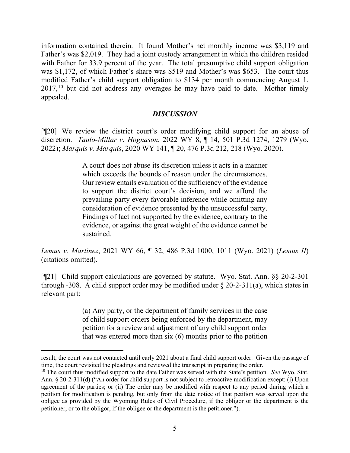information contained therein. It found Mother's net monthly income was \$3,119 and Father's was \$2,019. They had a joint custody arrangement in which the children resided with Father for 33.9 percent of the year. The total presumptive child support obligation was \$1,172, of which Father's share was \$519 and Mother's was \$653. The court thus modified Father's child support obligation to \$134 per month commencing August 1, 2017,<sup>[10](#page-5-0)</sup> but did not address any overages he may have paid to date. Mother timely appealed.

## *DISCUSSION*

[¶20] We review the district court's order modifying child support for an abuse of discretion. *Taulo-Millar v. Hognason*, 2022 WY 8, ¶ 14, 501 P.3d 1274, 1279 (Wyo. 2022); *Marquis v. Marquis*, 2020 WY 141, ¶ 20, 476 P.3d 212, 218 (Wyo. 2020).

> A court does not abuse its discretion unless it acts in a manner which exceeds the bounds of reason under the circumstances. Our review entails evaluation of the sufficiency of the evidence to support the district court's decision, and we afford the prevailing party every favorable inference while omitting any consideration of evidence presented by the unsuccessful party. Findings of fact not supported by the evidence, contrary to the evidence, or against the great weight of the evidence cannot be sustained.

*Lemus v. Martinez*, 2021 WY 66, ¶ 32, 486 P.3d 1000, 1011 (Wyo. 2021) (*Lemus II*) (citations omitted).

[¶21] Child support calculations are governed by statute. Wyo. Stat. Ann. §§ 20-2-301 through -308. A child support order may be modified under  $\S$  20-2-311(a), which states in relevant part:

> (a) Any party, or the department of family services in the case of child support orders being enforced by the department, may petition for a review and adjustment of any child support order that was entered more than six (6) months prior to the petition

result, the court was not contacted until early 2021 about a final child support order. Given the passage of time, the court revisited the pleadings and reviewed the transcript in preparing the order.

<span id="page-5-0"></span><sup>10</sup> The court thus modified support to the date Father was served with the State's petition. *See* Wyo. Stat. Ann. § 20-2-311(d) ("An order for child support is not subject to retroactive modification except: (i) Upon agreement of the parties; or (ii) The order may be modified with respect to any period during which a petition for modification is pending, but only from the date notice of that petition was served upon the obligee as provided by the Wyoming Rules of Civil Procedure, if the obligor or the department is the petitioner, or to the obligor, if the obligee or the department is the petitioner.").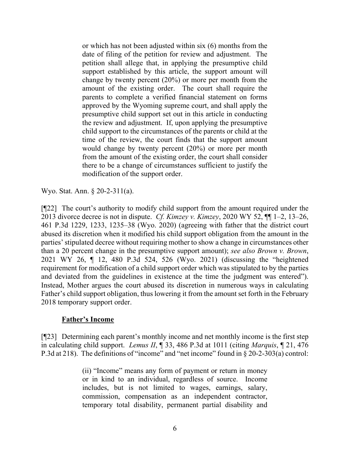or which has not been adjusted within six (6) months from the date of filing of the petition for review and adjustment. The petition shall allege that, in applying the presumptive child support established by this article, the support amount will change by twenty percent (20%) or more per month from the amount of the existing order. The court shall require the parents to complete a verified financial statement on forms approved by the Wyoming supreme court, and shall apply the presumptive child support set out in this article in conducting the review and adjustment. If, upon applying the presumptive child support to the circumstances of the parents or child at the time of the review, the court finds that the support amount would change by twenty percent (20%) or more per month from the amount of the existing order, the court shall consider there to be a change of circumstances sufficient to justify the modification of the support order.

Wyo. Stat. Ann. § 20-2-311(a).

[¶22] The court's authority to modify child support from the amount required under the 2013 divorce decree is not in dispute. *Cf. Kimzey v. Kimzey*, 2020 WY 52, ¶¶ 1–2, 13–26, 461 P.3d 1229, 1233, 1235–38 (Wyo. 2020) (agreeing with father that the district court abused its discretion when it modified his child support obligation from the amount in the parties' stipulated decree without requiring mother to show a change in circumstances other than a 20 percent change in the presumptive support amount); *see also Brown v. Brown*, 2021 WY 26, ¶ 12, 480 P.3d 524, 526 (Wyo. 2021) (discussing the "heightened requirement for modification of a child support order which was stipulated to by the parties and deviated from the guidelines in existence at the time the judgment was entered"). Instead, Mother argues the court abused its discretion in numerous ways in calculating Father's child support obligation, thus lowering it from the amount set forth in the February 2018 temporary support order.

## **Father's Income**

[¶23] Determining each parent's monthly income and net monthly income is the first step in calculating child support. *Lemus II*, ¶ 33, 486 P.3d at 1011 (citing *Marquis*, ¶ 21, 476 P.3d at 218). The definitions of "income" and "net income" found in § 20-2-303(a) control:

> (ii) "Income" means any form of payment or return in money or in kind to an individual, regardless of source. Income includes, but is not limited to wages, earnings, salary, commission, compensation as an independent contractor, temporary total disability, permanent partial disability and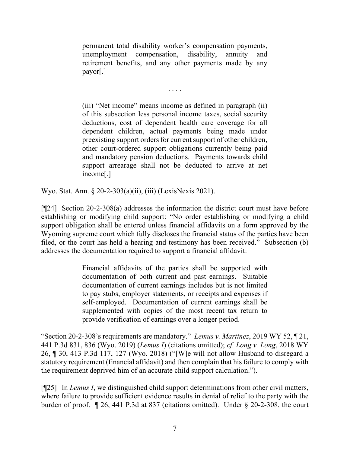permanent total disability worker's compensation payments, unemployment compensation, disability, annuity and retirement benefits, and any other payments made by any payor[.]

. . . .

(iii) "Net income" means income as defined in paragraph (ii) of this subsection less personal income taxes, social security deductions, cost of dependent health care coverage for all dependent children, actual payments being made under preexisting support orders for current support of other children, other court-ordered support obligations currently being paid and mandatory pension deductions. Payments towards child support arrearage shall not be deducted to arrive at net income[.]

Wyo. Stat. Ann. § 20-2-303(a)(ii), (iii) (LexisNexis 2021).

[¶24] Section 20-2-308(a) addresses the information the district court must have before establishing or modifying child support: "No order establishing or modifying a child support obligation shall be entered unless financial affidavits on a form approved by the Wyoming supreme court which fully discloses the financial status of the parties have been filed, or the court has held a hearing and testimony has been received." Subsection (b) addresses the documentation required to support a financial affidavit:

> Financial affidavits of the parties shall be supported with documentation of both current and past earnings. Suitable documentation of current earnings includes but is not limited to pay stubs, employer statements, or receipts and expenses if self-employed. Documentation of current earnings shall be supplemented with copies of the most recent tax return to provide verification of earnings over a longer period.

"Section 20-2-308's requirements are mandatory." *Lemus v. Martinez*, 2019 WY 52, ¶ 21, 441 P.3d 831, 836 (Wyo. 2019) (*Lemus I*) (citations omitted); *cf. Long v. Long*, 2018 WY 26, ¶ 30, 413 P.3d 117, 127 (Wyo. 2018) ("[W]e will not allow Husband to disregard a statutory requirement (financial affidavit) and then complain that his failure to comply with the requirement deprived him of an accurate child support calculation.").

[¶25] In *Lemus I*, we distinguished child support determinations from other civil matters, where failure to provide sufficient evidence results in denial of relief to the party with the burden of proof. ¶ 26, 441 P.3d at 837 (citations omitted). Under § 20-2-308, the court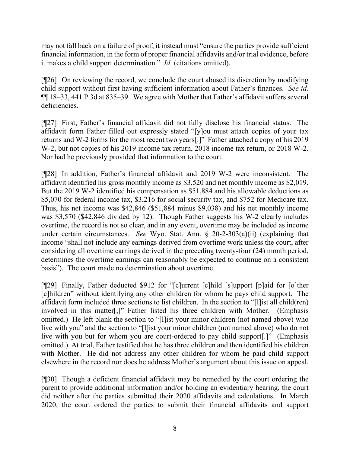may not fall back on a failure of proof, it instead must "ensure the parties provide sufficient financial information, in the form of proper financial affidavits and/or trial evidence, before it makes a child support determination." *Id.* (citations omitted).

[¶26] On reviewing the record, we conclude the court abused its discretion by modifying child support without first having sufficient information about Father's finances. *See id.*  ¶¶ 18–33, 441 P.3d at 835–39. We agree with Mother that Father's affidavit suffers several deficiencies.

[¶27] First, Father's financial affidavit did not fully disclose his financial status. The affidavit form Father filled out expressly stated "[y]ou must attach copies of your tax returns and W-2 forms for the most recent two years[.]" Father attached a copy of his 2019 W-2, but not copies of his 2019 income tax return, 2018 income tax return, or 2018 W-2. Nor had he previously provided that information to the court.

[¶28] In addition, Father's financial affidavit and 2019 W-2 were inconsistent. The affidavit identified his gross monthly income as \$3,520 and net monthly income as \$2,019. But the 2019 W-2 identified his compensation as \$51,884 and his allowable deductions as \$5,070 for federal income tax, \$3,216 for social security tax, and \$752 for Medicare tax. Thus, his net income was \$42,846 (\$51,884 minus \$9,038) and his net monthly income was \$3,570 (\$42,846 divided by 12). Though Father suggests his W-2 clearly includes overtime, the record is not so clear, and in any event, overtime may be included as income under certain circumstances. *See* Wyo. Stat. Ann. § 20-2-303(a)(ii) (explaining that income "shall not include any earnings derived from overtime work unless the court, after considering all overtime earnings derived in the preceding twenty-four (24) month period, determines the overtime earnings can reasonably be expected to continue on a consistent basis"). The court made no determination about overtime.

[¶29] Finally, Father deducted \$912 for "[c]urrent [c]hild [s]upport [p]aid for [o]ther [c]hildren" without identifying any other children for whom he pays child support. The affidavit form included three sections to list children. In the section to "[l]ist all child(ren) involved in this matter[,]" Father listed his three children with Mother. (Emphasis omitted.) He left blank the section to "[l]ist your minor children (not named above) who live with you" and the section to "[l]ist your minor children (not named above) who do not live with you but for whom you are court-ordered to pay child support[.]" (Emphasis omitted.) At trial, Father testified that he has three children and then identified his children with Mother. He did not address any other children for whom he paid child support elsewhere in the record nor does he address Mother's argument about this issue on appeal.

[¶30] Though a deficient financial affidavit may be remedied by the court ordering the parent to provide additional information and/or holding an evidentiary hearing, the court did neither after the parties submitted their 2020 affidavits and calculations. In March 2020, the court ordered the parties to submit their financial affidavits and support